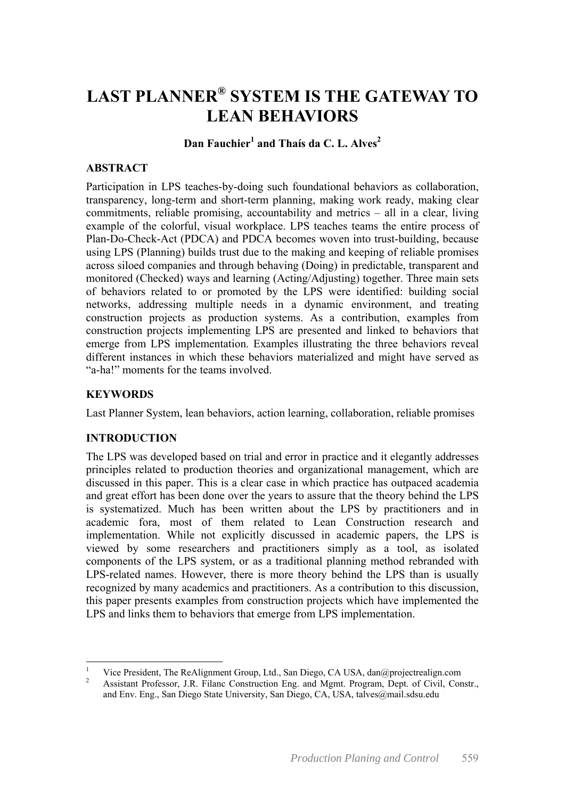# **LAST PLANNER® SYSTEM IS THE GATEWAY TO LEAN BEHAVIORS**

## **Dan Fauchier<sup>1</sup> and Thaís da C. L. Alves2**

## **ABSTRACT**

Participation in LPS teaches-by-doing such foundational behaviors as collaboration, transparency, long-term and short-term planning, making work ready, making clear commitments, reliable promising, accountability and metrics – all in a clear, living example of the colorful, visual workplace. LPS teaches teams the entire process of Plan-Do-Check-Act (PDCA) and PDCA becomes woven into trust-building, because using LPS (Planning) builds trust due to the making and keeping of reliable promises across siloed companies and through behaving (Doing) in predictable, transparent and monitored (Checked) ways and learning (Acting/Adjusting) together. Three main sets of behaviors related to or promoted by the LPS were identified: building social networks, addressing multiple needs in a dynamic environment, and treating construction projects as production systems. As a contribution, examples from construction projects implementing LPS are presented and linked to behaviors that emerge from LPS implementation. Examples illustrating the three behaviors reveal different instances in which these behaviors materialized and might have served as "a-ha!" moments for the teams involved.

## **KEYWORDS**

Last Planner System, lean behaviors, action learning, collaboration, reliable promises

## **INTRODUCTION**

The LPS was developed based on trial and error in practice and it elegantly addresses principles related to production theories and organizational management, which are discussed in this paper. This is a clear case in which practice has outpaced academia and great effort has been done over the years to assure that the theory behind the LPS is systematized. Much has been written about the LPS by practitioners and in academic fora, most of them related to Lean Construction research and implementation. While not explicitly discussed in academic papers, the LPS is viewed by some researchers and practitioners simply as a tool, as isolated components of the LPS system, or as a traditional planning method rebranded with LPS-related names. However, there is more theory behind the LPS than is usually recognized by many academics and practitioners. As a contribution to this discussion, this paper presents examples from construction projects which have implemented the LPS and links them to behaviors that emerge from LPS implementation.

 $\frac{1}{1}$  Vice President, The ReAlignment Group, Ltd., San Diego, CA USA, dan@projectrealign.com 2

Assistant Professor, J.R. Filanc Construction Eng. and Mgmt. Program, Dept. of Civil, Constr., and Env. Eng., San Diego State University, San Diego, CA, USA, talves@mail.sdsu.edu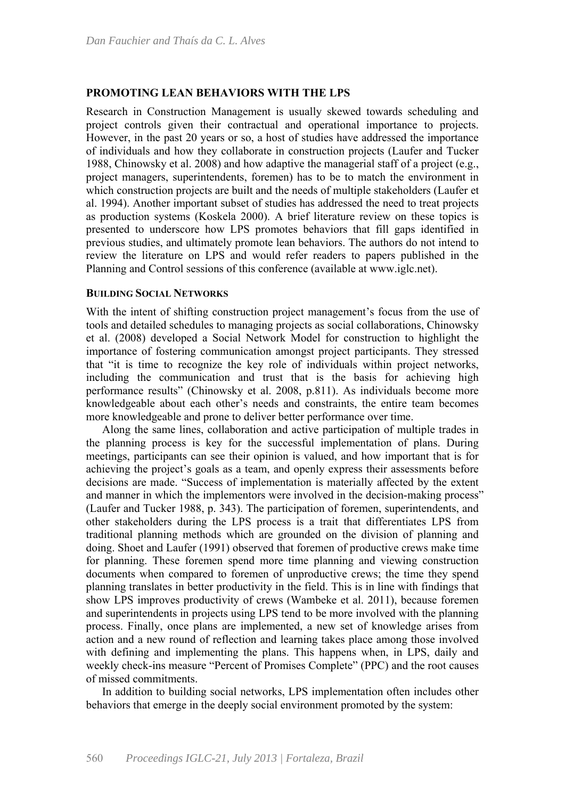#### **PROMOTING LEAN BEHAVIORS WITH THE LPS**

Research in Construction Management is usually skewed towards scheduling and project controls given their contractual and operational importance to projects. However, in the past 20 years or so, a host of studies have addressed the importance of individuals and how they collaborate in construction projects (Laufer and Tucker 1988, Chinowsky et al. 2008) and how adaptive the managerial staff of a project (e.g., project managers, superintendents, foremen) has to be to match the environment in which construction projects are built and the needs of multiple stakeholders (Laufer et al. 1994). Another important subset of studies has addressed the need to treat projects as production systems (Koskela 2000). A brief literature review on these topics is presented to underscore how LPS promotes behaviors that fill gaps identified in previous studies, and ultimately promote lean behaviors. The authors do not intend to review the literature on LPS and would refer readers to papers published in the Planning and Control sessions of this conference (available at www.iglc.net).

#### **BUILDING SOCIAL NETWORKS**

With the intent of shifting construction project management's focus from the use of tools and detailed schedules to managing projects as social collaborations, Chinowsky et al. (2008) developed a Social Network Model for construction to highlight the importance of fostering communication amongst project participants. They stressed that "it is time to recognize the key role of individuals within project networks, including the communication and trust that is the basis for achieving high performance results" (Chinowsky et al. 2008, p.811). As individuals become more knowledgeable about each other's needs and constraints, the entire team becomes more knowledgeable and prone to deliver better performance over time.

Along the same lines, collaboration and active participation of multiple trades in the planning process is key for the successful implementation of plans. During meetings, participants can see their opinion is valued, and how important that is for achieving the project's goals as a team, and openly express their assessments before decisions are made. "Success of implementation is materially affected by the extent and manner in which the implementors were involved in the decision-making process" (Laufer and Tucker 1988, p. 343). The participation of foremen, superintendents, and other stakeholders during the LPS process is a trait that differentiates LPS from traditional planning methods which are grounded on the division of planning and doing. Shoet and Laufer (1991) observed that foremen of productive crews make time for planning. These foremen spend more time planning and viewing construction documents when compared to foremen of unproductive crews; the time they spend planning translates in better productivity in the field. This is in line with findings that show LPS improves productivity of crews (Wambeke et al. 2011), because foremen and superintendents in projects using LPS tend to be more involved with the planning process. Finally, once plans are implemented, a new set of knowledge arises from action and a new round of reflection and learning takes place among those involved with defining and implementing the plans. This happens when, in LPS, daily and weekly check-ins measure "Percent of Promises Complete" (PPC) and the root causes of missed commitments.

In addition to building social networks, LPS implementation often includes other behaviors that emerge in the deeply social environment promoted by the system: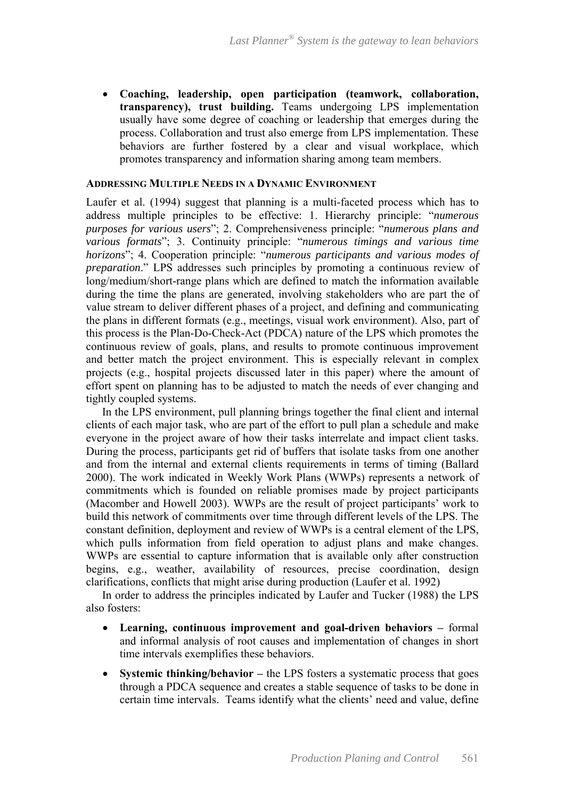**Coaching, leadership, open participation (teamwork, collaboration, transparency), trust building.** Teams undergoing LPS implementation usually have some degree of coaching or leadership that emerges during the process. Collaboration and trust also emerge from LPS implementation. These behaviors are further fostered by a clear and visual workplace, which promotes transparency and information sharing among team members.

#### **ADDRESSING MULTIPLE NEEDS IN A DYNAMIC ENVIRONMENT**

Laufer et al. (1994) suggest that planning is a multi-faceted process which has to address multiple principles to be effective: 1. Hierarchy principle: "*numerous purposes for various users*"; 2. Comprehensiveness principle: "*numerous plans and various formats*"; 3. Continuity principle: "*numerous timings and various time horizons*"; 4. Cooperation principle: "*numerous participants and various modes of preparation*." LPS addresses such principles by promoting a continuous review of long/medium/short-range plans which are defined to match the information available during the time the plans are generated, involving stakeholders who are part the of value stream to deliver different phases of a project, and defining and communicating the plans in different formats (e.g., meetings, visual work environment). Also, part of this process is the Plan-Do-Check-Act (PDCA) nature of the LPS which promotes the continuous review of goals, plans, and results to promote continuous improvement and better match the project environment. This is especially relevant in complex projects (e.g., hospital projects discussed later in this paper) where the amount of effort spent on planning has to be adjusted to match the needs of ever changing and tightly coupled systems.

In the LPS environment, pull planning brings together the final client and internal clients of each major task, who are part of the effort to pull plan a schedule and make everyone in the project aware of how their tasks interrelate and impact client tasks. During the process, participants get rid of buffers that isolate tasks from one another and from the internal and external clients requirements in terms of timing (Ballard 2000). The work indicated in Weekly Work Plans (WWPs) represents a network of commitments which is founded on reliable promises made by project participants (Macomber and Howell 2003). WWPs are the result of project participants' work to build this network of commitments over time through different levels of the LPS. The constant definition, deployment and review of WWPs is a central element of the LPS, which pulls information from field operation to adjust plans and make changes. WWPs are essential to capture information that is available only after construction begins, e.g., weather, availability of resources, precise coordination, design clarifications, conflicts that might arise during production (Laufer et al. 1992)

In order to address the principles indicated by Laufer and Tucker (1988) the LPS also fosters:

- **Learning, continuous improvement and goal-driven behaviors** formal and informal analysis of root causes and implementation of changes in short time intervals exemplifies these behaviors.
- **Systemic thinking/behavior** the LPS fosters a systematic process that goes through a PDCA sequence and creates a stable sequence of tasks to be done in certain time intervals. Teams identify what the clients' need and value, define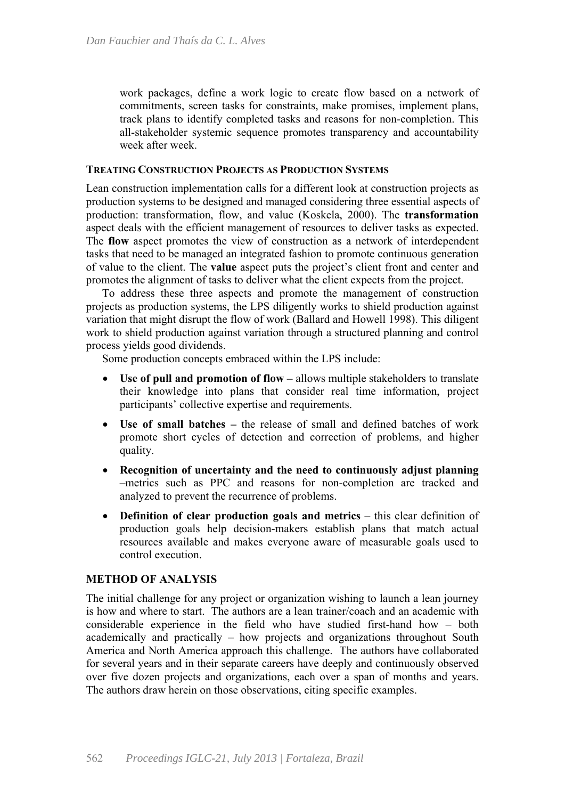work packages, define a work logic to create flow based on a network of commitments, screen tasks for constraints, make promises, implement plans, track plans to identify completed tasks and reasons for non-completion. This all-stakeholder systemic sequence promotes transparency and accountability week after week.

#### **TREATING CONSTRUCTION PROJECTS AS PRODUCTION SYSTEMS**

Lean construction implementation calls for a different look at construction projects as production systems to be designed and managed considering three essential aspects of production: transformation, flow, and value (Koskela, 2000). The **transformation** aspect deals with the efficient management of resources to deliver tasks as expected. The **flow** aspect promotes the view of construction as a network of interdependent tasks that need to be managed an integrated fashion to promote continuous generation of value to the client. The **value** aspect puts the project's client front and center and promotes the alignment of tasks to deliver what the client expects from the project.

To address these three aspects and promote the management of construction projects as production systems, the LPS diligently works to shield production against variation that might disrupt the flow of work (Ballard and Howell 1998). This diligent work to shield production against variation through a structured planning and control process yields good dividends.

Some production concepts embraced within the LPS include:

- Use of pull and promotion of flow allows multiple stakeholders to translate their knowledge into plans that consider real time information, project participants' collective expertise and requirements.
- **Use of small batches –** the release of small and defined batches of work promote short cycles of detection and correction of problems, and higher quality.
- **Recognition of uncertainty and the need to continuously adjust planning** –metrics such as PPC and reasons for non-completion are tracked and analyzed to prevent the recurrence of problems.
- **Definition of clear production goals and metrics** this clear definition of production goals help decision-makers establish plans that match actual resources available and makes everyone aware of measurable goals used to control execution.

## **METHOD OF ANALYSIS**

The initial challenge for any project or organization wishing to launch a lean journey is how and where to start. The authors are a lean trainer/coach and an academic with considerable experience in the field who have studied first-hand how – both academically and practically – how projects and organizations throughout South America and North America approach this challenge. The authors have collaborated for several years and in their separate careers have deeply and continuously observed over five dozen projects and organizations, each over a span of months and years. The authors draw herein on those observations, citing specific examples.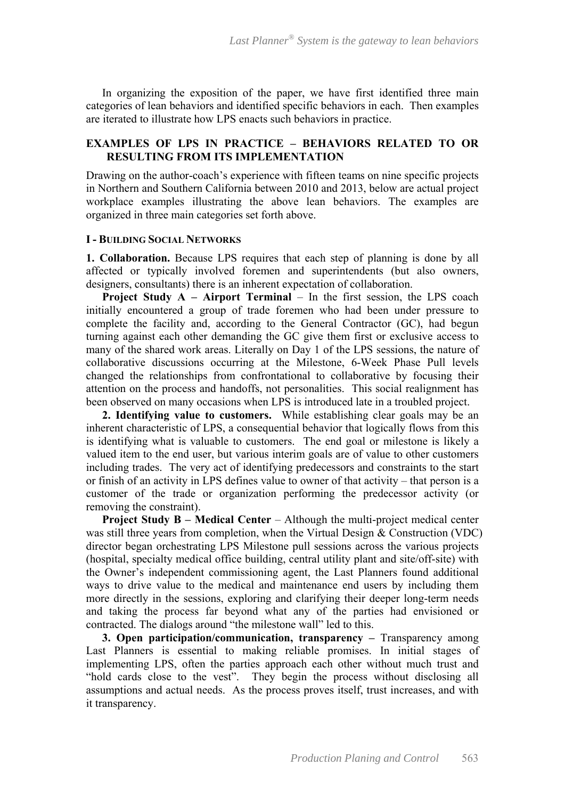In organizing the exposition of the paper, we have first identified three main categories of lean behaviors and identified specific behaviors in each. Then examples are iterated to illustrate how LPS enacts such behaviors in practice.

## **EXAMPLES OF LPS IN PRACTICE – BEHAVIORS RELATED TO OR RESULTING FROM ITS IMPLEMENTATION**

Drawing on the author-coach's experience with fifteen teams on nine specific projects in Northern and Southern California between 2010 and 2013, below are actual project workplace examples illustrating the above lean behaviors. The examples are organized in three main categories set forth above.

#### **I - BUILDING SOCIAL NETWORKS**

**1. Collaboration.** Because LPS requires that each step of planning is done by all affected or typically involved foremen and superintendents (but also owners, designers, consultants) there is an inherent expectation of collaboration.

**Project Study A – Airport Terminal** – In the first session, the LPS coach initially encountered a group of trade foremen who had been under pressure to complete the facility and, according to the General Contractor (GC), had begun turning against each other demanding the GC give them first or exclusive access to many of the shared work areas. Literally on Day 1 of the LPS sessions, the nature of collaborative discussions occurring at the Milestone, 6-Week Phase Pull levels changed the relationships from confrontational to collaborative by focusing their attention on the process and handoffs, not personalities. This social realignment has been observed on many occasions when LPS is introduced late in a troubled project.

**2. Identifying value to customers.** While establishing clear goals may be an inherent characteristic of LPS, a consequential behavior that logically flows from this is identifying what is valuable to customers. The end goal or milestone is likely a valued item to the end user, but various interim goals are of value to other customers including trades. The very act of identifying predecessors and constraints to the start or finish of an activity in LPS defines value to owner of that activity – that person is a customer of the trade or organization performing the predecessor activity (or removing the constraint).

**Project Study B – Medical Center** – Although the multi-project medical center was still three years from completion, when the Virtual Design & Construction (VDC) director began orchestrating LPS Milestone pull sessions across the various projects (hospital, specialty medical office building, central utility plant and site/off-site) with the Owner's independent commissioning agent, the Last Planners found additional ways to drive value to the medical and maintenance end users by including them more directly in the sessions, exploring and clarifying their deeper long-term needs and taking the process far beyond what any of the parties had envisioned or contracted. The dialogs around "the milestone wall" led to this.

**3. Open participation/communication, transparency –** Transparency among Last Planners is essential to making reliable promises. In initial stages of implementing LPS, often the parties approach each other without much trust and "hold cards close to the vest". They begin the process without disclosing all assumptions and actual needs. As the process proves itself, trust increases, and with it transparency.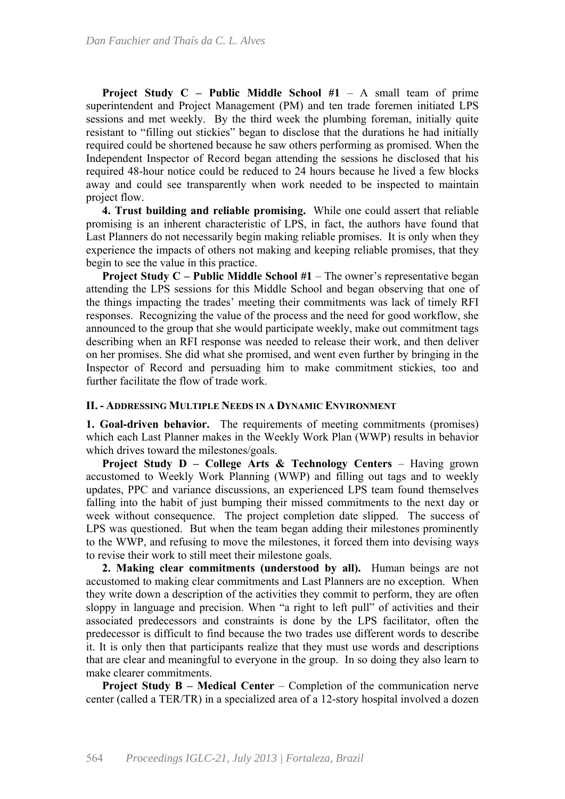**Project Study C – Public Middle School #1** – A small team of prime superintendent and Project Management (PM) and ten trade foremen initiated LPS sessions and met weekly. By the third week the plumbing foreman, initially quite resistant to "filling out stickies" began to disclose that the durations he had initially required could be shortened because he saw others performing as promised. When the Independent Inspector of Record began attending the sessions he disclosed that his required 48-hour notice could be reduced to 24 hours because he lived a few blocks away and could see transparently when work needed to be inspected to maintain project flow.

**4. Trust building and reliable promising.** While one could assert that reliable promising is an inherent characteristic of LPS, in fact, the authors have found that Last Planners do not necessarily begin making reliable promises. It is only when they experience the impacts of others not making and keeping reliable promises, that they begin to see the value in this practice.

**Project Study C – Public Middle School #1** – The owner's representative began attending the LPS sessions for this Middle School and began observing that one of the things impacting the trades' meeting their commitments was lack of timely RFI responses. Recognizing the value of the process and the need for good workflow, she announced to the group that she would participate weekly, make out commitment tags describing when an RFI response was needed to release their work, and then deliver on her promises. She did what she promised, and went even further by bringing in the Inspector of Record and persuading him to make commitment stickies, too and further facilitate the flow of trade work.

#### **II. - ADDRESSING MULTIPLE NEEDS IN A DYNAMIC ENVIRONMENT**

**1. Goal-driven behavior.** The requirements of meeting commitments (promises) which each Last Planner makes in the Weekly Work Plan (WWP) results in behavior which drives toward the milestones/goals.

**Project Study D – College Arts & Technology Centers** – Having grown accustomed to Weekly Work Planning (WWP) and filling out tags and to weekly updates, PPC and variance discussions, an experienced LPS team found themselves falling into the habit of just bumping their missed commitments to the next day or week without consequence. The project completion date slipped. The success of LPS was questioned. But when the team began adding their milestones prominently to the WWP, and refusing to move the milestones, it forced them into devising ways to revise their work to still meet their milestone goals.

**2. Making clear commitments (understood by all).** Human beings are not accustomed to making clear commitments and Last Planners are no exception. When they write down a description of the activities they commit to perform, they are often sloppy in language and precision. When "a right to left pull" of activities and their associated predecessors and constraints is done by the LPS facilitator, often the predecessor is difficult to find because the two trades use different words to describe it. It is only then that participants realize that they must use words and descriptions that are clear and meaningful to everyone in the group. In so doing they also learn to make clearer commitments.

**Project Study B – Medical Center** – Completion of the communication nerve center (called a TER/TR) in a specialized area of a 12-story hospital involved a dozen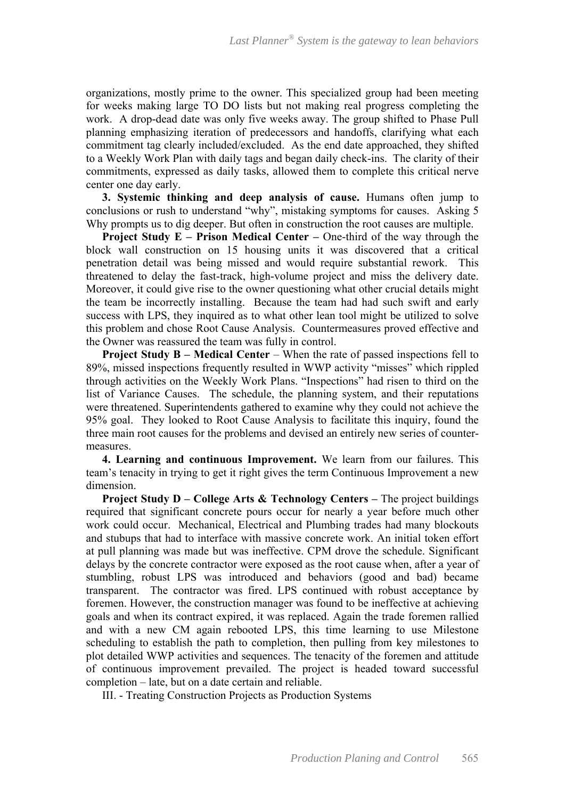organizations, mostly prime to the owner. This specialized group had been meeting for weeks making large TO DO lists but not making real progress completing the work. A drop-dead date was only five weeks away. The group shifted to Phase Pull planning emphasizing iteration of predecessors and handoffs, clarifying what each commitment tag clearly included/excluded. As the end date approached, they shifted to a Weekly Work Plan with daily tags and began daily check-ins. The clarity of their commitments, expressed as daily tasks, allowed them to complete this critical nerve center one day early.

**3. Systemic thinking and deep analysis of cause.** Humans often jump to conclusions or rush to understand "why", mistaking symptoms for causes. Asking 5 Why prompts us to dig deeper. But often in construction the root causes are multiple.

**Project Study E – Prison Medical Center – One-third of the way through the** block wall construction on 15 housing units it was discovered that a critical penetration detail was being missed and would require substantial rework. This threatened to delay the fast-track, high-volume project and miss the delivery date. Moreover, it could give rise to the owner questioning what other crucial details might the team be incorrectly installing. Because the team had had such swift and early success with LPS, they inquired as to what other lean tool might be utilized to solve this problem and chose Root Cause Analysis. Countermeasures proved effective and the Owner was reassured the team was fully in control.

**Project Study B – Medical Center – When the rate of passed inspections fell to** 89%, missed inspections frequently resulted in WWP activity "misses" which rippled through activities on the Weekly Work Plans. "Inspections" had risen to third on the list of Variance Causes. The schedule, the planning system, and their reputations were threatened. Superintendents gathered to examine why they could not achieve the 95% goal. They looked to Root Cause Analysis to facilitate this inquiry, found the three main root causes for the problems and devised an entirely new series of countermeasures.

**4. Learning and continuous Improvement.** We learn from our failures. This team's tenacity in trying to get it right gives the term Continuous Improvement a new dimension.

**Project Study D – College Arts & Technology Centers –** The project buildings required that significant concrete pours occur for nearly a year before much other work could occur. Mechanical, Electrical and Plumbing trades had many blockouts and stubups that had to interface with massive concrete work. An initial token effort at pull planning was made but was ineffective. CPM drove the schedule. Significant delays by the concrete contractor were exposed as the root cause when, after a year of stumbling, robust LPS was introduced and behaviors (good and bad) became transparent. The contractor was fired. LPS continued with robust acceptance by foremen. However, the construction manager was found to be ineffective at achieving goals and when its contract expired, it was replaced. Again the trade foremen rallied and with a new CM again rebooted LPS, this time learning to use Milestone scheduling to establish the path to completion, then pulling from key milestones to plot detailed WWP activities and sequences. The tenacity of the foremen and attitude of continuous improvement prevailed. The project is headed toward successful completion – late, but on a date certain and reliable.

III. - Treating Construction Projects as Production Systems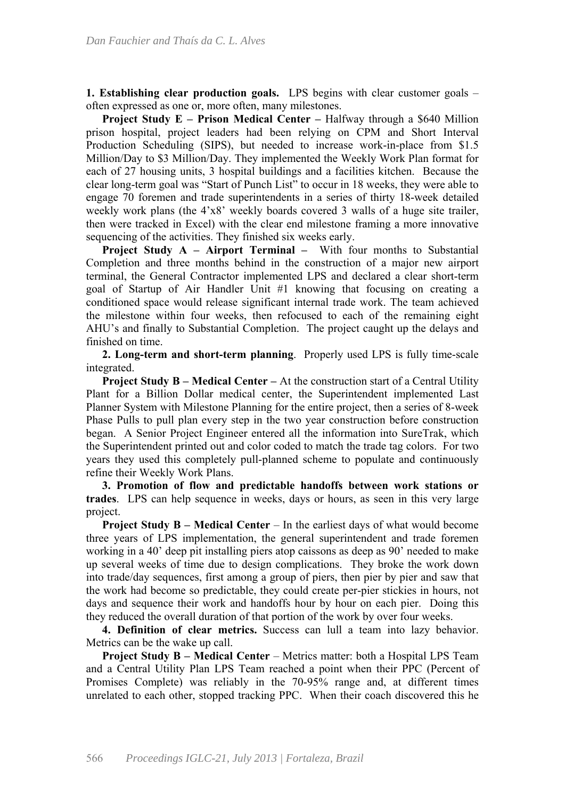**1. Establishing clear production goals.** LPS begins with clear customer goals – often expressed as one or, more often, many milestones.

**Project Study E – Prison Medical Center – Halfway through a \$640 Million** prison hospital, project leaders had been relying on CPM and Short Interval Production Scheduling (SIPS), but needed to increase work-in-place from \$1.5 Million/Day to \$3 Million/Day. They implemented the Weekly Work Plan format for each of 27 housing units, 3 hospital buildings and a facilities kitchen. Because the clear long-term goal was "Start of Punch List" to occur in 18 weeks, they were able to engage 70 foremen and trade superintendents in a series of thirty 18-week detailed weekly work plans (the 4'x8' weekly boards covered 3 walls of a huge site trailer, then were tracked in Excel) with the clear end milestone framing a more innovative sequencing of the activities. They finished six weeks early.

**Project Study A – Airport Terminal –** With four months to Substantial Completion and three months behind in the construction of a major new airport terminal, the General Contractor implemented LPS and declared a clear short-term goal of Startup of Air Handler Unit #1 knowing that focusing on creating a conditioned space would release significant internal trade work. The team achieved the milestone within four weeks, then refocused to each of the remaining eight AHU's and finally to Substantial Completion. The project caught up the delays and finished on time.

**2. Long-term and short-term planning**. Properly used LPS is fully time-scale integrated.

**Project Study B – Medical Center –** At the construction start of a Central Utility Plant for a Billion Dollar medical center, the Superintendent implemented Last Planner System with Milestone Planning for the entire project, then a series of 8-week Phase Pulls to pull plan every step in the two year construction before construction began. A Senior Project Engineer entered all the information into SureTrak, which the Superintendent printed out and color coded to match the trade tag colors. For two years they used this completely pull-planned scheme to populate and continuously refine their Weekly Work Plans.

**3. Promotion of flow and predictable handoffs between work stations or trades**. LPS can help sequence in weeks, days or hours, as seen in this very large project.

**Project Study B – Medical Center – In the earliest days of what would become** three years of LPS implementation, the general superintendent and trade foremen working in a 40' deep pit installing piers atop caissons as deep as 90' needed to make up several weeks of time due to design complications. They broke the work down into trade/day sequences, first among a group of piers, then pier by pier and saw that the work had become so predictable, they could create per-pier stickies in hours, not days and sequence their work and handoffs hour by hour on each pier. Doing this they reduced the overall duration of that portion of the work by over four weeks.

**4. Definition of clear metrics.** Success can lull a team into lazy behavior. Metrics can be the wake up call.

**Project Study B – Medical Center** – Metrics matter: both a Hospital LPS Team and a Central Utility Plan LPS Team reached a point when their PPC (Percent of Promises Complete) was reliably in the 70-95% range and, at different times unrelated to each other, stopped tracking PPC. When their coach discovered this he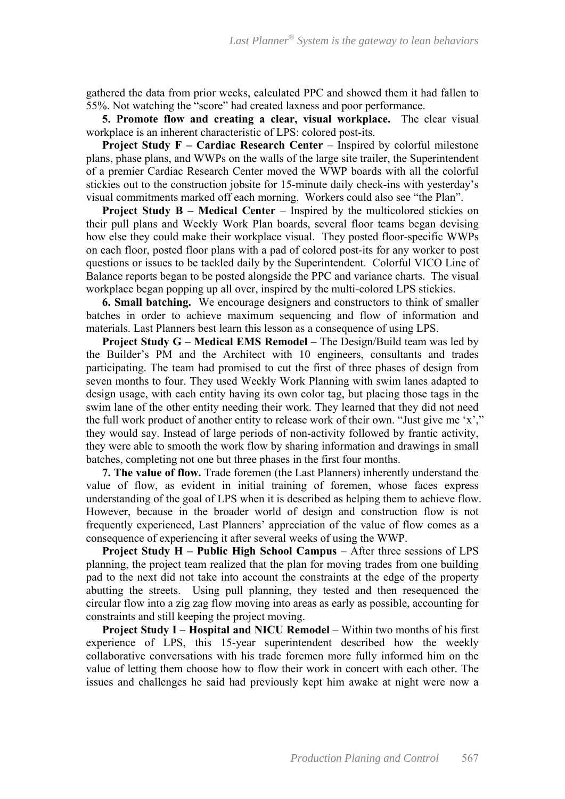gathered the data from prior weeks, calculated PPC and showed them it had fallen to 55%. Not watching the "score" had created laxness and poor performance.

**5. Promote flow and creating a clear, visual workplace.** The clear visual workplace is an inherent characteristic of LPS: colored post-its.

**Project Study F – Cardiac Research Center – Inspired by colorful milestone** plans, phase plans, and WWPs on the walls of the large site trailer, the Superintendent of a premier Cardiac Research Center moved the WWP boards with all the colorful stickies out to the construction jobsite for 15-minute daily check-ins with yesterday's visual commitments marked off each morning. Workers could also see "the Plan".

**Project Study B – Medical Center – Inspired by the multicolored stickies on** their pull plans and Weekly Work Plan boards, several floor teams began devising how else they could make their workplace visual. They posted floor-specific WWPs on each floor, posted floor plans with a pad of colored post-its for any worker to post questions or issues to be tackled daily by the Superintendent. Colorful VICO Line of Balance reports began to be posted alongside the PPC and variance charts. The visual workplace began popping up all over, inspired by the multi-colored LPS stickies.

**6. Small batching.** We encourage designers and constructors to think of smaller batches in order to achieve maximum sequencing and flow of information and materials. Last Planners best learn this lesson as a consequence of using LPS.

**Project Study G – Medical EMS Remodel –** The Design/Build team was led by the Builder's PM and the Architect with 10 engineers, consultants and trades participating. The team had promised to cut the first of three phases of design from seven months to four. They used Weekly Work Planning with swim lanes adapted to design usage, with each entity having its own color tag, but placing those tags in the swim lane of the other entity needing their work. They learned that they did not need the full work product of another entity to release work of their own. "Just give me 'x'," they would say. Instead of large periods of non-activity followed by frantic activity, they were able to smooth the work flow by sharing information and drawings in small batches, completing not one but three phases in the first four months.

**7. The value of flow.** Trade foremen (the Last Planners) inherently understand the value of flow, as evident in initial training of foremen, whose faces express understanding of the goal of LPS when it is described as helping them to achieve flow. However, because in the broader world of design and construction flow is not frequently experienced, Last Planners' appreciation of the value of flow comes as a consequence of experiencing it after several weeks of using the WWP.

**Project Study H – Public High School Campus** – After three sessions of LPS planning, the project team realized that the plan for moving trades from one building pad to the next did not take into account the constraints at the edge of the property abutting the streets. Using pull planning, they tested and then resequenced the circular flow into a zig zag flow moving into areas as early as possible, accounting for constraints and still keeping the project moving.

**Project Study I – Hospital and NICU Remodel – Within two months of his first** experience of LPS, this 15-year superintendent described how the weekly collaborative conversations with his trade foremen more fully informed him on the value of letting them choose how to flow their work in concert with each other. The issues and challenges he said had previously kept him awake at night were now a